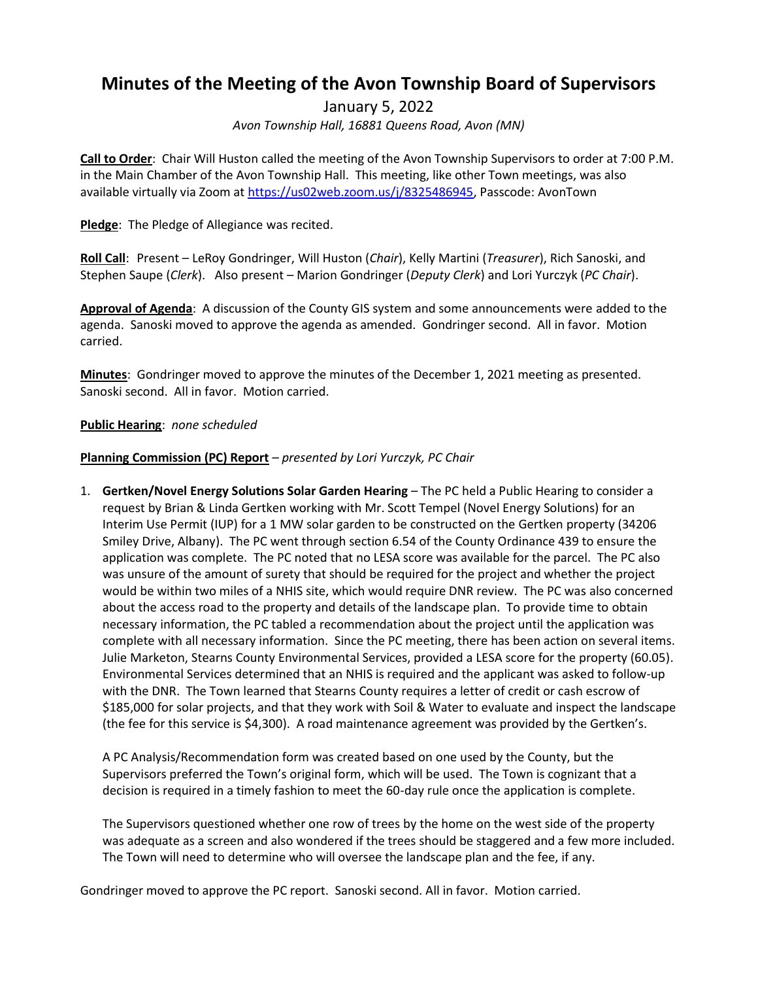# **Minutes of the Meeting of the Avon Township Board of Supervisors**

January 5, 2022 *Avon Township Hall, 16881 Queens Road, Avon (MN)*

**Call to Order**: Chair Will Huston called the meeting of the Avon Township Supervisors to order at 7:00 P.M. in the Main Chamber of the Avon Township Hall. This meeting, like other Town meetings, was also available virtually via Zoom at [https://us02web.zoom.us/j/8325486945,](https://us02web.zoom.us/j/8325486945) Passcode: AvonTown

**Pledge**: The Pledge of Allegiance was recited.

**Roll Call**: Present – LeRoy Gondringer, Will Huston (*Chair*), Kelly Martini (*Treasurer*), Rich Sanoski, and Stephen Saupe (*Clerk*). Also present – Marion Gondringer (*Deputy Clerk*) and Lori Yurczyk (*PC Chair*).

**Approval of Agenda**: A discussion of the County GIS system and some announcements were added to the agenda. Sanoski moved to approve the agenda as amended. Gondringer second. All in favor. Motion carried.

**Minutes**: Gondringer moved to approve the minutes of the December 1, 2021 meeting as presented. Sanoski second. All in favor. Motion carried.

# **Public Hearing**: *none scheduled*

# **Planning Commission (PC) Report** *– presented by Lori Yurczyk, PC Chair*

1. **Gertken/Novel Energy Solutions Solar Garden Hearing** – The PC held a Public Hearing to consider a request by Brian & Linda Gertken working with Mr. Scott Tempel (Novel Energy Solutions) for an Interim Use Permit (IUP) for a 1 MW solar garden to be constructed on the Gertken property (34206 Smiley Drive, Albany). The PC went through section 6.54 of the County Ordinance 439 to ensure the application was complete. The PC noted that no LESA score was available for the parcel. The PC also was unsure of the amount of surety that should be required for the project and whether the project would be within two miles of a NHIS site, which would require DNR review. The PC was also concerned about the access road to the property and details of the landscape plan. To provide time to obtain necessary information, the PC tabled a recommendation about the project until the application was complete with all necessary information. Since the PC meeting, there has been action on several items. Julie Marketon, Stearns County Environmental Services, provided a LESA score for the property (60.05). Environmental Services determined that an NHIS is required and the applicant was asked to follow-up with the DNR. The Town learned that Stearns County requires a letter of credit or cash escrow of \$185,000 for solar projects, and that they work with Soil & Water to evaluate and inspect the landscape (the fee for this service is \$4,300). A road maintenance agreement was provided by the Gertken's.

A PC Analysis/Recommendation form was created based on one used by the County, but the Supervisors preferred the Town's original form, which will be used. The Town is cognizant that a decision is required in a timely fashion to meet the 60-day rule once the application is complete.

The Supervisors questioned whether one row of trees by the home on the west side of the property was adequate as a screen and also wondered if the trees should be staggered and a few more included. The Town will need to determine who will oversee the landscape plan and the fee, if any.

Gondringer moved to approve the PC report. Sanoski second. All in favor. Motion carried.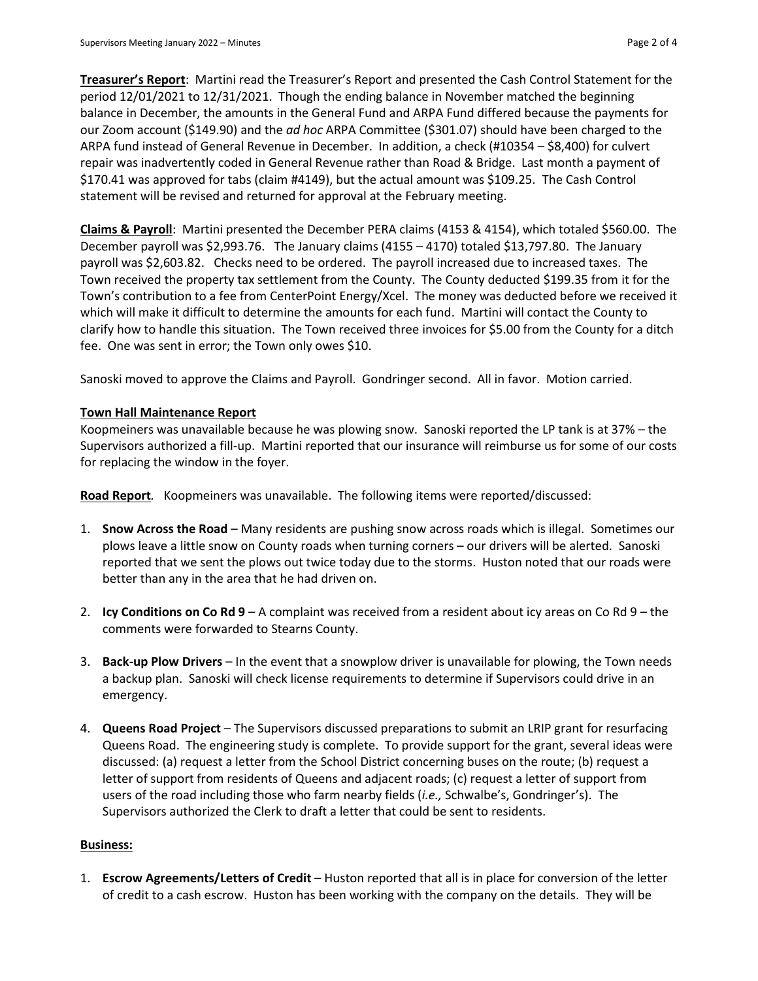**Treasurer's Report**: Martini read the Treasurer's Report and presented the Cash Control Statement for the period 12/01/2021 to 12/31/2021. Though the ending balance in November matched the beginning balance in December, the amounts in the General Fund and ARPA Fund differed because the payments for our Zoom account (\$149.90) and the *ad hoc* ARPA Committee (\$301.07) should have been charged to the ARPA fund instead of General Revenue in December. In addition, a check (#10354 – \$8,400) for culvert repair was inadvertently coded in General Revenue rather than Road & Bridge. Last month a payment of \$170.41 was approved for tabs (claim #4149), but the actual amount was \$109.25. The Cash Control statement will be revised and returned for approval at the February meeting.

**Claims & Payroll**: Martini presented the December PERA claims (4153 & 4154), which totaled \$560.00. The December payroll was \$2,993.76. The January claims (4155 – 4170) totaled \$13,797.80. The January payroll was \$2,603.82. Checks need to be ordered. The payroll increased due to increased taxes. The Town received the property tax settlement from the County. The County deducted \$199.35 from it for the Town's contribution to a fee from CenterPoint Energy/Xcel. The money was deducted before we received it which will make it difficult to determine the amounts for each fund. Martini will contact the County to clarify how to handle this situation. The Town received three invoices for \$5.00 from the County for a ditch fee. One was sent in error; the Town only owes \$10.

Sanoski moved to approve the Claims and Payroll. Gondringer second. All in favor. Motion carried.

# **Town Hall Maintenance Report**

Koopmeiners was unavailable because he was plowing snow. Sanoski reported the LP tank is at 37% – the Supervisors authorized a fill-up. Martini reported that our insurance will reimburse us for some of our costs for replacing the window in the foyer.

**Road Report***.* Koopmeiners was unavailable. The following items were reported/discussed:

- 1. **Snow Across the Road** Many residents are pushing snow across roads which is illegal. Sometimes our plows leave a little snow on County roads when turning corners – our drivers will be alerted. Sanoski reported that we sent the plows out twice today due to the storms. Huston noted that our roads were better than any in the area that he had driven on.
- 2. **Icy Conditions on Co Rd 9** A complaint was received from a resident about icy areas on Co Rd 9 the comments were forwarded to Stearns County.
- 3. **Back-up Plow Drivers** In the event that a snowplow driver is unavailable for plowing, the Town needs a backup plan. Sanoski will check license requirements to determine if Supervisors could drive in an emergency.
- 4. **Queens Road Project** The Supervisors discussed preparations to submit an LRIP grant for resurfacing Queens Road. The engineering study is complete. To provide support for the grant, several ideas were discussed: (a) request a letter from the School District concerning buses on the route; (b) request a letter of support from residents of Queens and adjacent roads; (c) request a letter of support from users of the road including those who farm nearby fields (*i.e.,* Schwalbe's, Gondringer's). The Supervisors authorized the Clerk to draft a letter that could be sent to residents.

# **Business:**

1. **Escrow Agreements/Letters of Credit** – Huston reported that all is in place for conversion of the letter of credit to a cash escrow. Huston has been working with the company on the details. They will be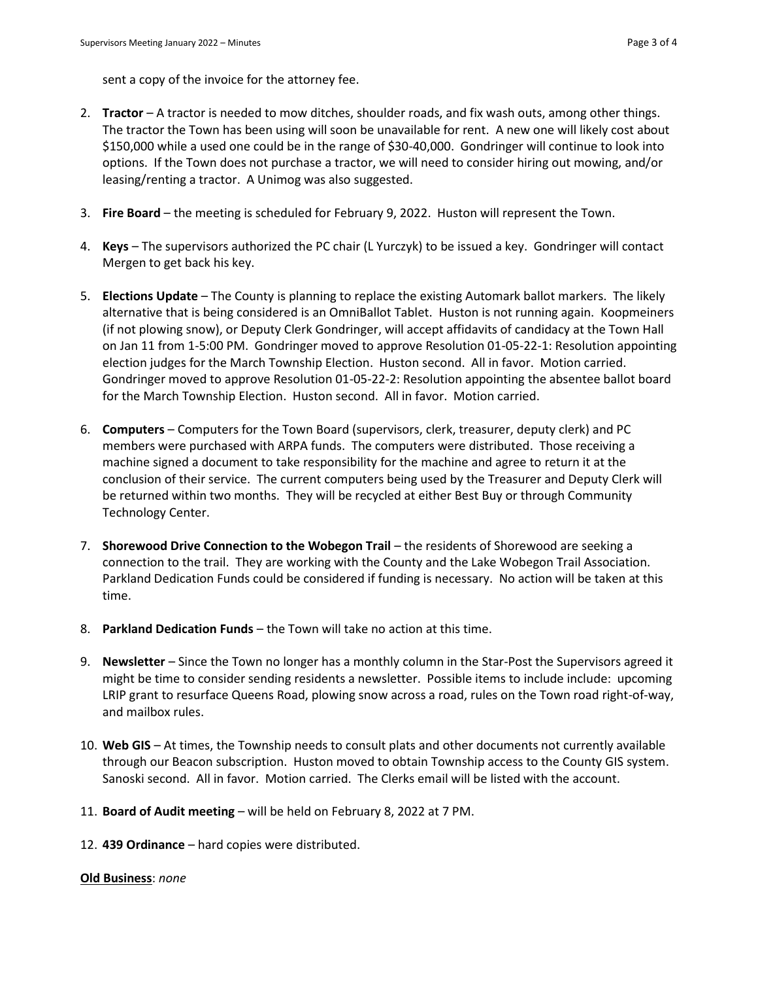sent a copy of the invoice for the attorney fee.

- 2. **Tractor**  A tractor is needed to mow ditches, shoulder roads, and fix wash outs, among other things. The tractor the Town has been using will soon be unavailable for rent. A new one will likely cost about \$150,000 while a used one could be in the range of \$30-40,000. Gondringer will continue to look into options. If the Town does not purchase a tractor, we will need to consider hiring out mowing, and/or leasing/renting a tractor. A Unimog was also suggested.
- 3. **Fire Board**  the meeting is scheduled for February 9, 2022. Huston will represent the Town.
- 4. **Keys**  The supervisors authorized the PC chair (L Yurczyk) to be issued a key. Gondringer will contact Mergen to get back his key.
- 5. **Elections Update**  The County is planning to replace the existing Automark ballot markers. The likely alternative that is being considered is an OmniBallot Tablet. Huston is not running again. Koopmeiners (if not plowing snow), or Deputy Clerk Gondringer, will accept affidavits of candidacy at the Town Hall on Jan 11 from 1-5:00 PM. Gondringer moved to approve Resolution 01-05-22-1: Resolution appointing election judges for the March Township Election. Huston second. All in favor. Motion carried. Gondringer moved to approve Resolution 01-05-22-2: Resolution appointing the absentee ballot board for the March Township Election. Huston second. All in favor. Motion carried.
- 6. **Computers**  Computers for the Town Board (supervisors, clerk, treasurer, deputy clerk) and PC members were purchased with ARPA funds. The computers were distributed. Those receiving a machine signed a document to take responsibility for the machine and agree to return it at the conclusion of their service. The current computers being used by the Treasurer and Deputy Clerk will be returned within two months. They will be recycled at either Best Buy or through Community Technology Center.
- 7. **Shorewood Drive Connection to the Wobegon Trail** the residents of Shorewood are seeking a connection to the trail. They are working with the County and the Lake Wobegon Trail Association. Parkland Dedication Funds could be considered if funding is necessary. No action will be taken at this time.
- 8. **Parkland Dedication Funds**  the Town will take no action at this time.
- 9. **Newsletter**  Since the Town no longer has a monthly column in the Star-Post the Supervisors agreed it might be time to consider sending residents a newsletter. Possible items to include include: upcoming LRIP grant to resurface Queens Road, plowing snow across a road, rules on the Town road right-of-way, and mailbox rules.
- 10. **Web GIS**  At times, the Township needs to consult plats and other documents not currently available through our Beacon subscription. Huston moved to obtain Township access to the County GIS system. Sanoski second. All in favor. Motion carried. The Clerks email will be listed with the account.
- 11. **Board of Audit meeting**  will be held on February 8, 2022 at 7 PM.
- 12. **439 Ordinance**  hard copies were distributed.

#### **Old Business**: *none*